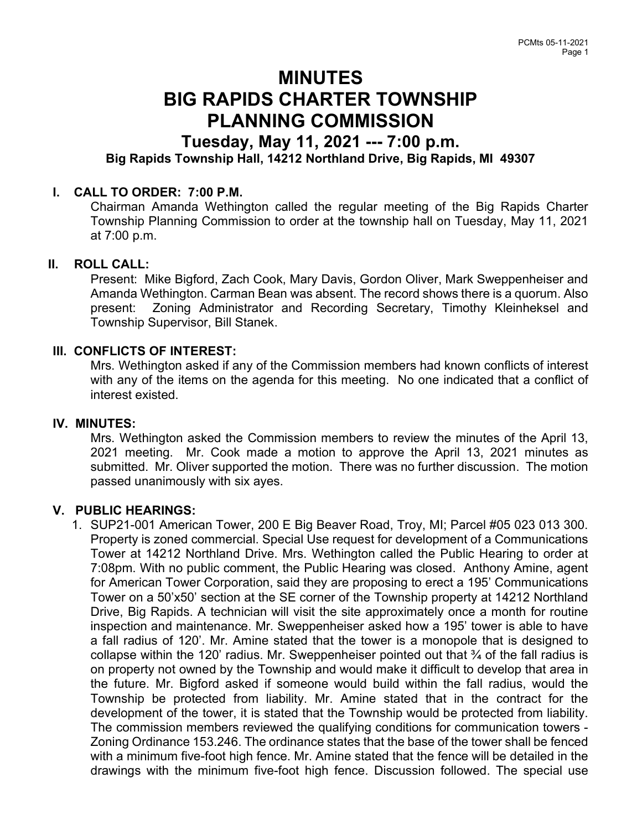# MINUTES BIG RAPIDS CHARTER TOWNSHIP PLANNING COMMISSION

# Tuesday, May 11, 2021 --- 7:00 p.m. Big Rapids Township Hall, 14212 Northland Drive, Big Rapids, MI 49307

### I. CALL TO ORDER: 7:00 P.M.

Chairman Amanda Wethington called the regular meeting of the Big Rapids Charter Township Planning Commission to order at the township hall on Tuesday, May 11, 2021 at 7:00 p.m.

#### II. ROLL CALL:

Present: Mike Bigford, Zach Cook, Mary Davis, Gordon Oliver, Mark Sweppenheiser and Amanda Wethington. Carman Bean was absent. The record shows there is a quorum. Also present: Zoning Administrator and Recording Secretary, Timothy Kleinheksel and Township Supervisor, Bill Stanek.

### III. CONFLICTS OF INTEREST:

Mrs. Wethington asked if any of the Commission members had known conflicts of interest with any of the items on the agenda for this meeting. No one indicated that a conflict of interest existed.

#### IV. MINUTES:

Mrs. Wethington asked the Commission members to review the minutes of the April 13, 2021 meeting. Mr. Cook made a motion to approve the April 13, 2021 minutes as submitted. Mr. Oliver supported the motion. There was no further discussion. The motion passed unanimously with six ayes.

## V. PUBLIC HEARINGS:

1. SUP21-001 American Tower, 200 E Big Beaver Road, Troy, MI; Parcel #05 023 013 300. Property is zoned commercial. Special Use request for development of a Communications Tower at 14212 Northland Drive. Mrs. Wethington called the Public Hearing to order at 7:08pm. With no public comment, the Public Hearing was closed. Anthony Amine, agent for American Tower Corporation, said they are proposing to erect a 195' Communications Tower on a 50'x50' section at the SE corner of the Township property at 14212 Northland Drive, Big Rapids. A technician will visit the site approximately once a month for routine inspection and maintenance. Mr. Sweppenheiser asked how a 195' tower is able to have a fall radius of 120'. Mr. Amine stated that the tower is a monopole that is designed to collapse within the 120' radius. Mr. Sweppenheiser pointed out that ¾ of the fall radius is on property not owned by the Township and would make it difficult to develop that area in the future. Mr. Bigford asked if someone would build within the fall radius, would the Township be protected from liability. Mr. Amine stated that in the contract for the development of the tower, it is stated that the Township would be protected from liability. The commission members reviewed the qualifying conditions for communication towers - Zoning Ordinance 153.246. The ordinance states that the base of the tower shall be fenced with a minimum five-foot high fence. Mr. Amine stated that the fence will be detailed in the drawings with the minimum five-foot high fence. Discussion followed. The special use